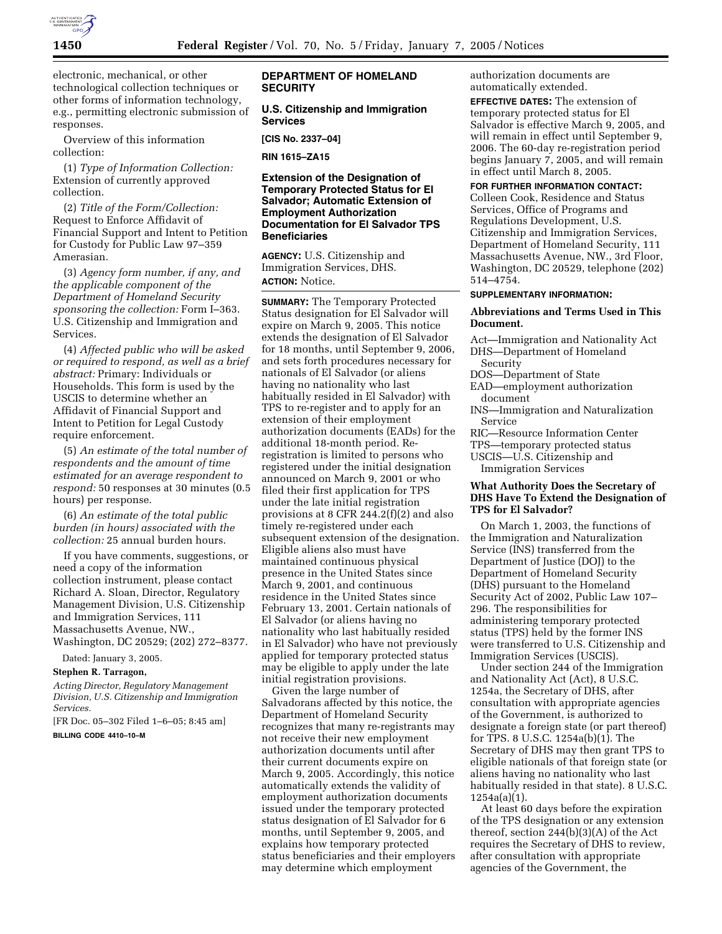

electronic, mechanical, or other technological collection techniques or other forms of information technology, e.g., permitting electronic submission of responses.

Overview of this information collection:

(1) *Type of Information Collection:* Extension of currently approved collection.

(2) *Title of the Form/Collection:* Request to Enforce Affidavit of Financial Support and Intent to Petition for Custody for Public Law 97–359 Amerasian.

(3) *Agency form number, if any, and the applicable component of the Department of Homeland Security sponsoring the collection:* Form I–363. U.S. Citizenship and Immigration and Services.

(4) *Affected public who will be asked or required to respond, as well as a brief abstract:* Primary: Individuals or Households. This form is used by the USCIS to determine whether an Affidavit of Financial Support and Intent to Petition for Legal Custody require enforcement.

(5) *An estimate of the total number of respondents and the amount of time estimated for an average respondent to respond:* 50 responses at 30 minutes (0.5 hours) per response.

(6) *An estimate of the total public burden (in hours) associated with the collection:* 25 annual burden hours.

If you have comments, suggestions, or need a copy of the information collection instrument, please contact Richard A. Sloan, Director, Regulatory Management Division, U.S. Citizenship and Immigration Services, 111 Massachusetts Avenue, NW., Washington, DC 20529; (202) 272–8377.

Dated: January 3, 2005.

**Stephen R. Tarragon,** 

*Acting Director, Regulatory Management Division, U.S. Citizenship and Immigration Services.*

[FR Doc. 05–302 Filed 1–6–05; 8:45 am]

**BILLING CODE 4410–10–M**

## **DEPARTMENT OF HOMELAND SECURITY**

#### **U.S. Citizenship and Immigration Services**

**[CIS No. 2337–04]** 

**RIN 1615–ZA15** 

## **Extension of the Designation of Temporary Protected Status for El Salvador; Automatic Extension of Employment Authorization Documentation for El Salvador TPS Beneficiaries**

**AGENCY:** U.S. Citizenship and Immigration Services, DHS. **ACTION:** Notice.

**SUMMARY:** The Temporary Protected Status designation for El Salvador will expire on March 9, 2005. This notice extends the designation of El Salvador for 18 months, until September 9, 2006, and sets forth procedures necessary for nationals of El Salvador (or aliens having no nationality who last habitually resided in El Salvador) with TPS to re-register and to apply for an extension of their employment authorization documents (EADs) for the additional 18-month period. Reregistration is limited to persons who registered under the initial designation announced on March 9, 2001 or who filed their first application for TPS under the late initial registration provisions at 8 CFR 244.2(f)(2) and also timely re-registered under each subsequent extension of the designation. Eligible aliens also must have maintained continuous physical presence in the United States since March 9, 2001, and continuous residence in the United States since February 13, 2001. Certain nationals of El Salvador (or aliens having no nationality who last habitually resided in El Salvador) who have not previously applied for temporary protected status may be eligible to apply under the late initial registration provisions.

Given the large number of Salvadorans affected by this notice, the Department of Homeland Security recognizes that many re-registrants may not receive their new employment authorization documents until after their current documents expire on March 9, 2005. Accordingly, this notice automatically extends the validity of employment authorization documents issued under the temporary protected status designation of El Salvador for 6 months, until September 9, 2005, and explains how temporary protected status beneficiaries and their employers may determine which employment

authorization documents are automatically extended.

**EFFECTIVE DATES:** The extension of temporary protected status for El Salvador is effective March 9, 2005, and will remain in effect until September 9, 2006. The 60-day re-registration period begins January 7, 2005, and will remain in effect until March 8, 2005.

**FOR FURTHER INFORMATION CONTACT:**

Colleen Cook, Residence and Status Services, Office of Programs and Regulations Development, U.S. Citizenship and Immigration Services, Department of Homeland Security, 111 Massachusetts Avenue, NW., 3rd Floor, Washington, DC 20529, telephone (202) 514–4754.

# **SUPPLEMENTARY INFORMATION:**

#### **Abbreviations and Terms Used in This Document.**

- Act—Immigration and Nationality Act
- DHS—Department of Homeland
- Security DOS—Department of State
- EAD—employment authorization document
- INS—Immigration and Naturalization Service
- RIC—Resource Information Center
- TPS—temporary protected status
- USCIS—U.S. Citizenship and

Immigration Services

# **What Authority Does the Secretary of DHS Have To Extend the Designation of TPS for El Salvador?**

On March 1, 2003, the functions of the Immigration and Naturalization Service (INS) transferred from the Department of Justice (DOJ) to the Department of Homeland Security (DHS) pursuant to the Homeland Security Act of 2002, Public Law 107– 296. The responsibilities for administering temporary protected status (TPS) held by the former INS were transferred to U.S. Citizenship and Immigration Services (USCIS).

Under section 244 of the Immigration and Nationality Act (Act), 8 U.S.C. 1254a, the Secretary of DHS, after consultation with appropriate agencies of the Government, is authorized to designate a foreign state (or part thereof) for TPS. 8 U.S.C. 1254a(b)(1). The Secretary of DHS may then grant TPS to eligible nationals of that foreign state (or aliens having no nationality who last habitually resided in that state). 8 U.S.C. 1254a(a)(1).

At least 60 days before the expiration of the TPS designation or any extension thereof, section 244(b)(3)(A) of the Act requires the Secretary of DHS to review, after consultation with appropriate agencies of the Government, the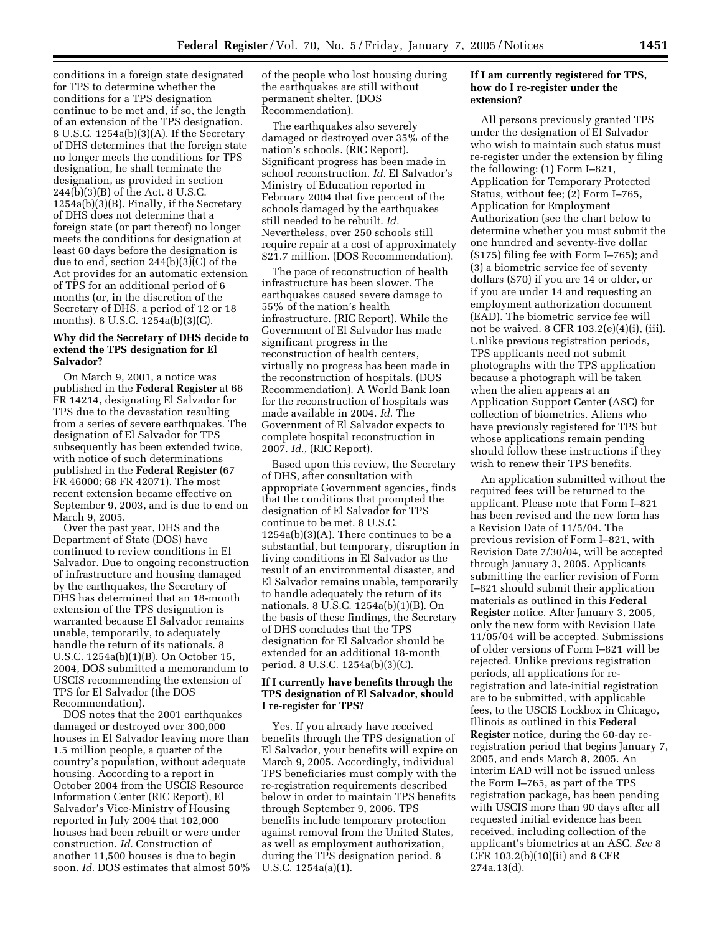conditions in a foreign state designated for TPS to determine whether the conditions for a TPS designation continue to be met and, if so, the length of an extension of the TPS designation. 8 U.S.C. 1254a(b)(3)(A). If the Secretary of DHS determines that the foreign state no longer meets the conditions for TPS designation, he shall terminate the designation, as provided in section 244(b)(3)(B) of the Act. 8 U.S.C. 1254a(b)(3)(B). Finally, if the Secretary of DHS does not determine that a foreign state (or part thereof) no longer meets the conditions for designation at least 60 days before the designation is due to end, section 244(b)(3)(C) of the Act provides for an automatic extension of TPS for an additional period of 6 months (or, in the discretion of the Secretary of DHS, a period of 12 or 18 months). 8 U.S.C. 1254a(b)(3)(C).

# **Why did the Secretary of DHS decide to extend the TPS designation for El Salvador?**

On March 9, 2001, a notice was published in the **Federal Register** at 66 FR 14214, designating El Salvador for TPS due to the devastation resulting from a series of severe earthquakes. The designation of El Salvador for TPS subsequently has been extended twice, with notice of such determinations published in the **Federal Register** (67 FR 46000; 68 FR 42071). The most recent extension became effective on September 9, 2003, and is due to end on March 9, 2005.

Over the past year, DHS and the Department of State (DOS) have continued to review conditions in El Salvador. Due to ongoing reconstruction of infrastructure and housing damaged by the earthquakes, the Secretary of DHS has determined that an 18-month extension of the TPS designation is warranted because El Salvador remains unable, temporarily, to adequately handle the return of its nationals. 8 U.S.C. 1254a(b)(1)(B). On October 15, 2004, DOS submitted a memorandum to USCIS recommending the extension of TPS for El Salvador (the DOS Recommendation).

DOS notes that the 2001 earthquakes damaged or destroyed over 300,000 houses in El Salvador leaving more than 1.5 million people, a quarter of the country's population, without adequate housing. According to a report in October 2004 from the USCIS Resource Information Center (RIC Report), El Salvador's Vice-Ministry of Housing reported in July 2004 that 102,000 houses had been rebuilt or were under construction. *Id.* Construction of another 11,500 houses is due to begin soon. *Id.* DOS estimates that almost 50% of the people who lost housing during the earthquakes are still without permanent shelter. (DOS Recommendation).

The earthquakes also severely damaged or destroyed over 35% of the nation's schools. (RIC Report). Significant progress has been made in school reconstruction. *Id.* El Salvador's Ministry of Education reported in February 2004 that five percent of the schools damaged by the earthquakes still needed to be rebuilt. *Id.* Nevertheless, over 250 schools still require repair at a cost of approximately \$21.7 million. (DOS Recommendation).

The pace of reconstruction of health infrastructure has been slower. The earthquakes caused severe damage to 55% of the nation's health infrastructure. (RIC Report). While the Government of El Salvador has made significant progress in the reconstruction of health centers, virtually no progress has been made in the reconstruction of hospitals. (DOS Recommendation). A World Bank loan for the reconstruction of hospitals was made available in 2004. *Id.* The Government of El Salvador expects to complete hospital reconstruction in 2007. *Id.,* (RIC Report).

Based upon this review, the Secretary of DHS, after consultation with appropriate Government agencies, finds that the conditions that prompted the designation of El Salvador for TPS continue to be met. 8 U.S.C.  $1254a(b)(3)(A)$ . There continues to be a substantial, but temporary, disruption in living conditions in El Salvador as the result of an environmental disaster, and El Salvador remains unable, temporarily to handle adequately the return of its nationals. 8 U.S.C. 1254a(b)(1)(B). On the basis of these findings, the Secretary of DHS concludes that the TPS designation for El Salvador should be extended for an additional 18-month period. 8 U.S.C. 1254a(b)(3)(C).

#### **If I currently have benefits through the TPS designation of El Salvador, should I re-register for TPS?**

Yes. If you already have received benefits through the TPS designation of El Salvador, your benefits will expire on March 9, 2005. Accordingly, individual TPS beneficiaries must comply with the re-registration requirements described below in order to maintain TPS benefits through September 9, 2006. TPS benefits include temporary protection against removal from the United States, as well as employment authorization, during the TPS designation period. 8 U.S.C. 1254a(a)(1).

# **If I am currently registered for TPS, how do I re-register under the extension?**

All persons previously granted TPS under the designation of El Salvador who wish to maintain such status must re-register under the extension by filing the following: (1) Form I–821, Application for Temporary Protected Status, without fee; (2) Form I–765, Application for Employment Authorization (see the chart below to determine whether you must submit the one hundred and seventy-five dollar (\$175) filing fee with Form I–765); and (3) a biometric service fee of seventy dollars (\$70) if you are 14 or older, or if you are under 14 and requesting an employment authorization document (EAD). The biometric service fee will not be waived. 8 CFR 103.2(e)(4)(i), (iii). Unlike previous registration periods, TPS applicants need not submit photographs with the TPS application because a photograph will be taken when the alien appears at an Application Support Center (ASC) for collection of biometrics. Aliens who have previously registered for TPS but whose applications remain pending should follow these instructions if they wish to renew their TPS benefits.

An application submitted without the required fees will be returned to the applicant. Please note that Form I–821 has been revised and the new form has a Revision Date of 11/5/04. The previous revision of Form I–821, with Revision Date 7/30/04, will be accepted through January 3, 2005. Applicants submitting the earlier revision of Form I–821 should submit their application materials as outlined in this **Federal Register** notice. After January 3, 2005, only the new form with Revision Date 11/05/04 will be accepted. Submissions of older versions of Form I–821 will be rejected. Unlike previous registration periods, all applications for reregistration and late-initial registration are to be submitted, with applicable fees, to the USCIS Lockbox in Chicago, Illinois as outlined in this **Federal Register** notice, during the 60-day reregistration period that begins January 7, 2005, and ends March 8, 2005. An interim EAD will not be issued unless the Form I–765, as part of the TPS registration package, has been pending with USCIS more than 90 days after all requested initial evidence has been received, including collection of the applicant's biometrics at an ASC. *See* 8 CFR 103.2(b)(10)(ii) and 8 CFR 274a.13(d).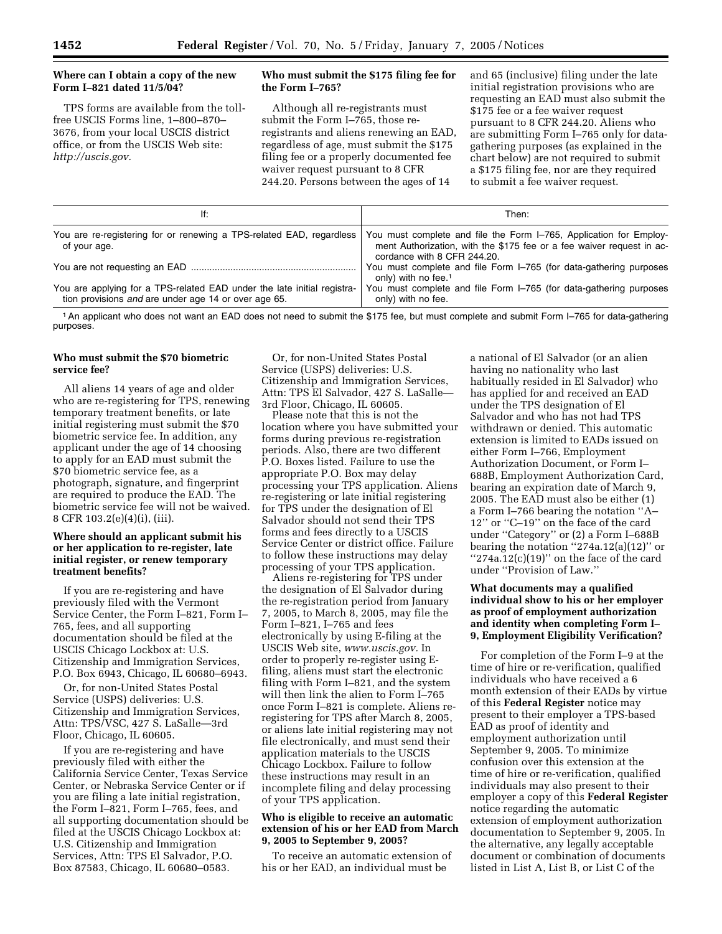# **Where can I obtain a copy of the new Form I–821 dated 11/5/04?**

TPS forms are available from the tollfree USCIS Forms line, 1–800–870– 3676, from your local USCIS district office, or from the USCIS Web site: *http://uscis.gov.*

# **Who must submit the \$175 filing fee for the Form I–765?**

Although all re-registrants must submit the Form I–765, those reregistrants and aliens renewing an EAD, regardless of age, must submit the \$175 filing fee or a properly documented fee waiver request pursuant to 8 CFR 244.20. Persons between the ages of 14

and 65 (inclusive) filing under the late initial registration provisions who are requesting an EAD must also submit the \$175 fee or a fee waiver request pursuant to 8 CFR 244.20. Aliens who are submitting Form I–765 only for datagathering purposes (as explained in the chart below) are not required to submit a \$175 filing fee, nor are they required to submit a fee waiver request.

| lf:                                                                                                                             | Then:                                                                                                                                                                      |
|---------------------------------------------------------------------------------------------------------------------------------|----------------------------------------------------------------------------------------------------------------------------------------------------------------------------|
| You are re-registering for or renewing a TPS-related EAD, regardless<br>of your age.                                            | You must complete and file the Form I-765, Application for Employ-<br>ment Authorization, with the \$175 fee or a fee waiver request in ac-<br>cordance with 8 CFR 244.20. |
|                                                                                                                                 | You must complete and file Form I-765 (for data-gathering purposes<br>only) with no fee. <sup>1</sup>                                                                      |
| You are applying for a TPS-related EAD under the late initial registra-<br>tion provisions and are under age 14 or over age 65. | You must complete and file Form I-765 (for data-gathering purposes<br>only) with no fee.                                                                                   |

1An applicant who does not want an EAD does not need to submit the \$175 fee, but must complete and submit Form I–765 for data-gathering purposes.

## **Who must submit the \$70 biometric service fee?**

All aliens 14 years of age and older who are re-registering for TPS, renewing temporary treatment benefits, or late initial registering must submit the \$70 biometric service fee. In addition, any applicant under the age of 14 choosing to apply for an EAD must submit the \$70 biometric service fee, as a photograph, signature, and fingerprint are required to produce the EAD. The biometric service fee will not be waived. 8 CFR 103.2(e)(4)(i), (iii).

## **Where should an applicant submit his or her application to re-register, late initial register, or renew temporary treatment benefits?**

If you are re-registering and have previously filed with the Vermont Service Center, the Form I–821, Form I– 765, fees, and all supporting documentation should be filed at the USCIS Chicago Lockbox at: U.S. Citizenship and Immigration Services, P.O. Box 6943, Chicago, IL 60680–6943.

Or, for non-United States Postal Service (USPS) deliveries: U.S. Citizenship and Immigration Services, Attn: TPS/VSC, 427 S. LaSalle—3rd Floor, Chicago, IL 60605.

If you are re-registering and have previously filed with either the California Service Center, Texas Service Center, or Nebraska Service Center or if you are filing a late initial registration, the Form I–821, Form I–765, fees, and all supporting documentation should be filed at the USCIS Chicago Lockbox at: U.S. Citizenship and Immigration Services, Attn: TPS El Salvador, P.O. Box 87583, Chicago, IL 60680–0583.

Or, for non-United States Postal Service (USPS) deliveries: U.S. Citizenship and Immigration Services, Attn: TPS El Salvador, 427 S. LaSalle— 3rd Floor, Chicago, IL 60605.

Please note that this is not the location where you have submitted your forms during previous re-registration periods. Also, there are two different P.O. Boxes listed. Failure to use the appropriate P.O. Box may delay processing your TPS application. Aliens re-registering or late initial registering for TPS under the designation of El Salvador should not send their TPS forms and fees directly to a USCIS Service Center or district office. Failure to follow these instructions may delay processing of your TPS application.

Aliens re-registering for TPS under the designation of El Salvador during the re-registration period from January 7, 2005, to March 8, 2005, may file the Form I–821, I–765 and fees electronically by using E-filing at the USCIS Web site, *www.uscis.gov.* In order to properly re-register using Efiling, aliens must start the electronic filing with Form I–821, and the system will then link the alien to Form I–765 once Form I–821 is complete. Aliens reregistering for TPS after March 8, 2005, or aliens late initial registering may not file electronically, and must send their application materials to the USCIS Chicago Lockbox. Failure to follow these instructions may result in an incomplete filing and delay processing of your TPS application.

#### **Who is eligible to receive an automatic extension of his or her EAD from March 9, 2005 to September 9, 2005?**

To receive an automatic extension of his or her EAD, an individual must be

a national of El Salvador (or an alien having no nationality who last habitually resided in El Salvador) who has applied for and received an EAD under the TPS designation of El Salvador and who has not had TPS withdrawn or denied. This automatic extension is limited to EADs issued on either Form I–766, Employment Authorization Document, or Form I– 688B, Employment Authorization Card, bearing an expiration date of March 9, 2005. The EAD must also be either (1) a Form I–766 bearing the notation ''A– 12'' or ''C–19'' on the face of the card under ''Category'' or (2) a Form I–688B bearing the notation  $"274a.12(a)(12)"$  or " $274a.12(c)(19)$ " on the face of the card under ''Provision of Law.''

# **What documents may a qualified individual show to his or her employer as proof of employment authorization and identity when completing Form I– 9, Employment Eligibility Verification?**

For completion of the Form I–9 at the time of hire or re-verification, qualified individuals who have received a 6 month extension of their EADs by virtue of this **Federal Register** notice may present to their employer a TPS-based EAD as proof of identity and employment authorization until September 9, 2005. To minimize confusion over this extension at the time of hire or re-verification, qualified individuals may also present to their employer a copy of this **Federal Register** notice regarding the automatic extension of employment authorization documentation to September 9, 2005. In the alternative, any legally acceptable document or combination of documents listed in List A, List B, or List C of the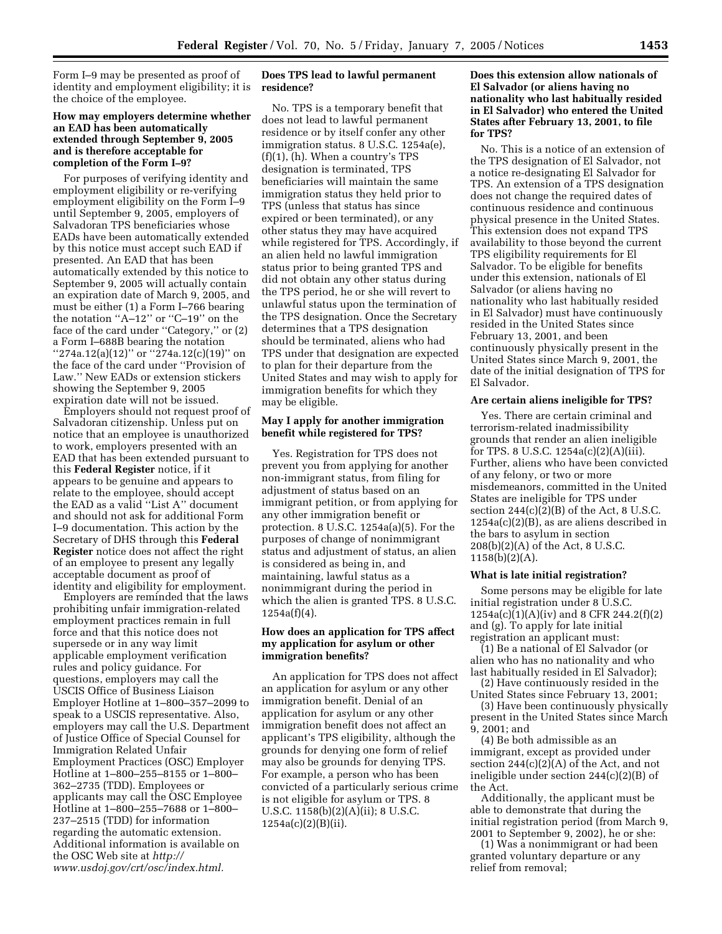Form I–9 may be presented as proof of identity and employment eligibility; it is the choice of the employee.

## **How may employers determine whether an EAD has been automatically extended through September 9, 2005 and is therefore acceptable for completion of the Form I–9?**

For purposes of verifying identity and employment eligibility or re-verifying employment eligibility on the Form I–9 until September 9, 2005, employers of Salvadoran TPS beneficiaries whose EADs have been automatically extended by this notice must accept such EAD if presented. An EAD that has been automatically extended by this notice to September 9, 2005 will actually contain an expiration date of March 9, 2005, and must be either (1) a Form I–766 bearing the notation "A-12" or "C-19" on the face of the card under ''Category,'' or (2) a Form I–688B bearing the notation ''274a.12(a)(12)'' or ''274a.12(c)(19)'' on the face of the card under ''Provision of Law.'' New EADs or extension stickers showing the September 9, 2005 expiration date will not be issued.

Employers should not request proof of Salvadoran citizenship. Unless put on notice that an employee is unauthorized to work, employers presented with an EAD that has been extended pursuant to this **Federal Register** notice, if it appears to be genuine and appears to relate to the employee, should accept the EAD as a valid ''List A'' document and should not ask for additional Form I–9 documentation. This action by the Secretary of DHS through this **Federal Register** notice does not affect the right of an employee to present any legally acceptable document as proof of identity and eligibility for employment.

Employers are reminded that the laws prohibiting unfair immigration-related employment practices remain in full force and that this notice does not supersede or in any way limit applicable employment verification rules and policy guidance. For questions, employers may call the USCIS Office of Business Liaison Employer Hotline at 1–800–357–2099 to speak to a USCIS representative. Also, employers may call the U.S. Department of Justice Office of Special Counsel for Immigration Related Unfair Employment Practices (OSC) Employer Hotline at 1–800–255–8155 or 1–800– 362–2735 (TDD). Employees or applicants may call the OSC Employee Hotline at 1–800–255–7688 or 1–800– 237–2515 (TDD) for information regarding the automatic extension. Additional information is available on the OSC Web site at *http:// www.usdoj.gov/crt/osc/index.html.*

# **Does TPS lead to lawful permanent residence?**

No. TPS is a temporary benefit that does not lead to lawful permanent residence or by itself confer any other immigration status. 8 U.S.C. 1254a(e), (f)(1), (h). When a country's TPS designation is terminated, TPS beneficiaries will maintain the same immigration status they held prior to TPS (unless that status has since expired or been terminated), or any other status they may have acquired while registered for TPS. Accordingly, if an alien held no lawful immigration status prior to being granted TPS and did not obtain any other status during the TPS period, he or she will revert to unlawful status upon the termination of the TPS designation. Once the Secretary determines that a TPS designation should be terminated, aliens who had TPS under that designation are expected to plan for their departure from the United States and may wish to apply for immigration benefits for which they may be eligible.

# **May I apply for another immigration benefit while registered for TPS?**

Yes. Registration for TPS does not prevent you from applying for another non-immigrant status, from filing for adjustment of status based on an immigrant petition, or from applying for any other immigration benefit or protection. 8 U.S.C. 1254a(a)(5). For the purposes of change of nonimmigrant status and adjustment of status, an alien is considered as being in, and maintaining, lawful status as a nonimmigrant during the period in which the alien is granted TPS. 8 U.S.C. 1254a(f)(4).

# **How does an application for TPS affect my application for asylum or other immigration benefits?**

An application for TPS does not affect an application for asylum or any other immigration benefit. Denial of an application for asylum or any other immigration benefit does not affect an applicant's TPS eligibility, although the grounds for denying one form of relief may also be grounds for denying TPS. For example, a person who has been convicted of a particularly serious crime is not eligible for asylum or TPS. 8 U.S.C. 1158(b)(2)(A)(ii); 8 U.S.C. 1254a(c)(2)(B)(ii).

# **Does this extension allow nationals of El Salvador (or aliens having no nationality who last habitually resided in El Salvador) who entered the United States after February 13, 2001, to file for TPS?**

No. This is a notice of an extension of the TPS designation of El Salvador, not a notice re-designating El Salvador for TPS. An extension of a TPS designation does not change the required dates of continuous residence and continuous physical presence in the United States. This extension does not expand TPS availability to those beyond the current TPS eligibility requirements for El Salvador. To be eligible for benefits under this extension, nationals of El Salvador (or aliens having no nationality who last habitually resided in El Salvador) must have continuously resided in the United States since February 13, 2001, and been continuously physically present in the United States since March 9, 2001, the date of the initial designation of TPS for El Salvador.

# **Are certain aliens ineligible for TPS?**

Yes. There are certain criminal and terrorism-related inadmissibility grounds that render an alien ineligible for TPS. 8 U.S.C. 1254a(c)(2)(A)(iii). Further, aliens who have been convicted of any felony, or two or more misdemeanors, committed in the United States are ineligible for TPS under section  $244(c)(2)(B)$  of the Act, 8 U.S.C. 1254a(c)(2)(B), as are aliens described in the bars to asylum in section 208(b)(2)(A) of the Act, 8 U.S.C.  $1158(b)(2)(A)$ .

#### **What is late initial registration?**

Some persons may be eligible for late initial registration under 8 U.S.C. 1254a(c)(1)(A)(iv) and 8 CFR 244.2(f)(2) and (g). To apply for late initial registration an applicant must:

(1) Be a national of El Salvador (or alien who has no nationality and who last habitually resided in El Salvador);

(2) Have continuously resided in the United States since February 13, 2001;

(3) Have been continuously physically present in the United States since March 9, 2001; and

(4) Be both admissible as an immigrant, except as provided under section 244(c)(2)(A) of the Act, and not ineligible under section 244(c)(2)(B) of the Act.

Additionally, the applicant must be able to demonstrate that during the initial registration period (from March 9, 2001 to September 9, 2002), he or she:

(1) Was a nonimmigrant or had been granted voluntary departure or any relief from removal;